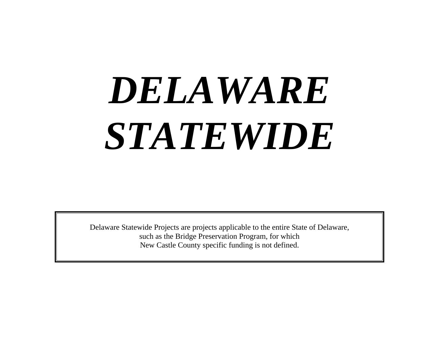# *DELAWARE STATEWIDE*

Delaware Statewide Projects are projects applicable to the entire State of Delaware, such as the Bridge Preservation Program, for which New Castle County specific funding is not defined.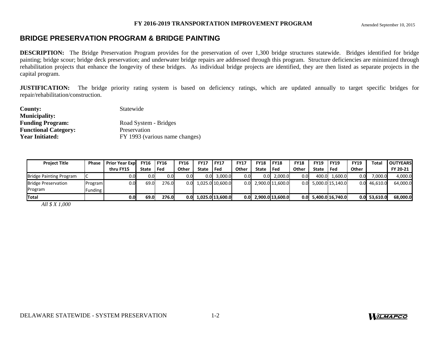# **BRIDGE PRESERVATION PROGRAM & BRIDGE PAINTING**

**DESCRIPTION:** The Bridge Preservation Program provides for the preservation of over 1,300 bridge structures statewide. Bridges identified for bridge painting; bridge scour; bridge deck preservation; and underwater bridge repairs are addressed through this program. Structure deficiencies are minimized through rehabilitation projects that enhance the longevity of these bridges. As individual bridge projects are identified, they are then listed as separate projects in the capital program.

**JUSTIFICATION:** The bridge priority rating system is based on deficiency ratings, which are updated annually to target specific bridges for repair/rehabilitation/construction.

| County:                     | Statewide                      |
|-----------------------------|--------------------------------|
| <b>Municipality:</b>        |                                |
| <b>Funding Program:</b>     | Road System - Bridges          |
| <b>Functional Category:</b> | Preservation                   |
| <b>Year Initiated:</b>      | FY 1993 (various name changes) |

| <b>Project Title</b>           | Phase   | <b>Prior Year Exp</b> | <b>FY16</b> | <b>FY16</b> | <b>FY16</b> | <b>FY17</b> | <b>IFY17</b>     | <b>FY17</b>      | <b>FY18</b> | <b>IFY18</b>     | <b>FY18</b> | <b>FY19</b> | <b>FY19</b>            | <b>FY19</b> | Total          | <b>OUTYEARS</b> |
|--------------------------------|---------|-----------------------|-------------|-------------|-------------|-------------|------------------|------------------|-------------|------------------|-------------|-------------|------------------------|-------------|----------------|-----------------|
|                                |         | thru FY15             | State       | l Fed       | Other       | State       | l Fed            | Other            | State       | l Fed            | Other       | State       | l Fed                  | Other       |                | FY 20-21        |
| <b>Bridge Painting Program</b> |         | 0.0                   | 0.OI        | 0.01        | 0.0         | 0.OI        | 3,000.0          | 0.01             |             | $0.0$ 2.000.0    | 0.0         | 400.0       | 1.600.0                | 0.0         | 7.000.0        | 4,000.0         |
| <b>Bridge Preservation</b>     | Program | 0.0                   | 69.0        | 276.0       | 0.0         |             | 1,025.0 10,600.0 | 0.0 <sub>l</sub> |             | 2,900.0 11,600.0 |             |             | $0.0$ 5,000.0 15,140.0 |             | $0.0$ 46,610.0 | 64,000.0        |
| Program                        | Funding |                       |             |             |             |             |                  |                  |             |                  |             |             |                        |             |                |                 |
| lTotal                         |         | 0.0                   | 69.0        | 276.0       | 0.OI        |             | 1.025.0 13.600.0 | 0.0 <sub>l</sub> |             | 2,900.0 13,600.0 |             |             | $0.0$ 5,400.0 16,740.0 |             | $0.0$ 53.610.0 | 68,000.0        |

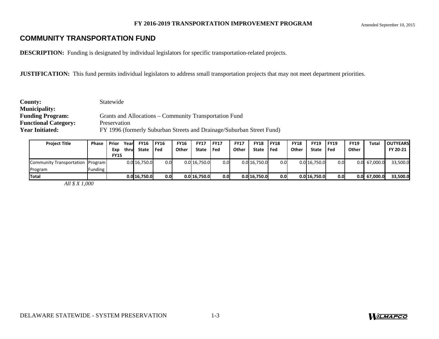# **COMMUNITY TRANSPORTATION FUND**

**DESCRIPTION:** Funding is designated by individual legislators for specific transportation-related projects.

**JUSTIFICATION:** This fund permits individual legislators to address small transportation projects that may not meet department priorities.

| <b>County:</b>              | Statewide                                                             |
|-----------------------------|-----------------------------------------------------------------------|
| <b>Municipality:</b>        |                                                                       |
| <b>Funding Program:</b>     | Grants and Allocations – Community Transportation Fund                |
| <b>Functional Category:</b> | Preservation                                                          |
| <b>Year Initiated:</b>      | FY 1996 (formerly Suburban Streets and Drainage/Suburban Street Fund) |

| <b>Project Title</b>             | <b>Phase</b>   | Prior              | Yearl | <b>FY16</b>  | l FY16 | <b>FY16</b> | <b>FY17</b>  | <b>IFY17</b>     | <b>FY17</b> | <b>FY18</b>  | <b>FY18</b> | <b>FY18</b> | <b>FY19</b>  | <b>FY19</b>      | <b>FY19</b> | Total        | <b>OUTYEARS</b> |
|----------------------------------|----------------|--------------------|-------|--------------|--------|-------------|--------------|------------------|-------------|--------------|-------------|-------------|--------------|------------------|-------------|--------------|-----------------|
|                                  |                | Exp<br><b>FY15</b> | thrul | State        | l Fed  | Other       | State        | l Fed            | Other       | State        | l Fed       | Other       | State        | l Fed            | Other       |              | FY 20-21        |
| Community Transportation Program |                |                    |       | 0.0 16,750.0 | 0.0    |             | 0.0 16,750.0 | 0.0              |             | 0.0 16,750.0 | 0.0         |             | 0.0 16,750.0 | 0.0 <sub>l</sub> | 0.0         | 67,000.0     | 33,500.0        |
| Program                          | <b>Funding</b> |                    |       |              |        |             |              |                  |             |              |             |             |              |                  |             |              |                 |
| <b>Total</b>                     |                |                    |       | 0.0 16.750.0 | 0.0    |             | 0.0 16.750.0 | 0.0 <sub>l</sub> |             | 0.0 16,750.0 | 0.0         |             | 0.0 16.750.0 | 0.0 <sub>l</sub> |             | 0.0 67.000.0 | 33,500.0        |

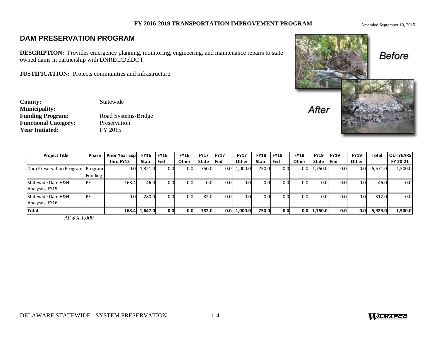### Amended September 10, 2015

# **DAM PRESERVATION PROGRAM**

**DESCRIPTION:** Provides emergency planning, monitoring, engineering, and maintenance repairs to state owned dams in partnership with DNREC/DelDOT

**JUSTIFICATION:** Protects communities and infrastructure.

**County:** Statewide **Municipality: Functional Category:** Preservation Year Initiated: FY 2015

**Funding Program:** Road Systems-Bridge



| <b>Project Title</b>                | <b>Phase</b>   | <b>Prior Year Exp</b> | <b>FY16</b> | <b>FY16</b>      | <b>FY16</b>      | <b>FY17</b>  | <b>FY17</b>      | <b>FY17</b>      | <b>FY18</b> | FY18             | <b>FY18</b> | <b>FY19</b>   | <b>FY19</b> | <b>FY19</b> | <b>Total</b> | <b>OUTYEARS</b> |
|-------------------------------------|----------------|-----------------------|-------------|------------------|------------------|--------------|------------------|------------------|-------------|------------------|-------------|---------------|-------------|-------------|--------------|-----------------|
|                                     |                | thru FY15             | State       | Fed              | Other            | <b>State</b> | Fed              | Other            | State       | l Fed            | Other       | <b>State</b>  | Fed         | Other       |              | FY 20-21        |
| Dam Preservation Program Program    | <b>Funding</b> | 0.0                   | 1,321.0     | 0.01             | 0.0              | 750.0        | $0.0\,$          | 1,000.0          | 750.0       | 0.0              | 0.OI        | 1,750.0       | 0.0         | 0.0         | 5,571.0      | 1,500.0         |
| Statewide Dam H&H<br>Analyses, FY15 | <b>IPE</b>     | 168.4                 | 46.0        | 0.0 <sub>l</sub> | 0.01             | 0.0          | 0.0 <sub>l</sub> | 0.0 <sub>l</sub> | 0.0         | 0.0              | 0.01        | 0.0           | 0.0         | 0.0         | 46.0         | 0.0             |
| Statewide Dam H&H<br>Analyses, FY16 | <b>IPE</b>     | 0.0                   | 280.0       | 0.0 <sub>l</sub> | 0.01             | 32.0         | 0.0 <sub>l</sub> | 0.0              | 0.0         | 0.0              | 0.01        | 0.0           | 0.0         | 0.0         | 312.0        | 0.0             |
| <b>Total</b>                        |                | 168.4                 | 1,647.0     | 0.01             | 0.0 <sub>l</sub> | 782.0        | 0.0              | 1,000.0          | 750.0       | 0.0 <sub>l</sub> |             | $0.0$ 1,750.0 | 0.0         | 0.0         | 5,929.0      | 1,500.0         |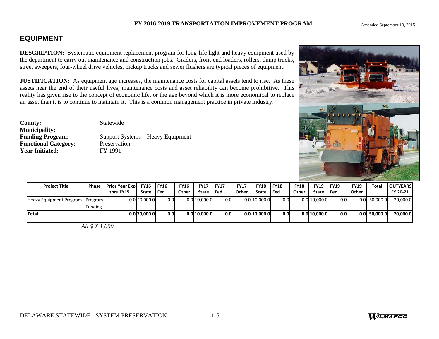Amended September 10, 2015

# **EQUIPMENT**

**DESCRIPTION:** Systematic equipment replacement program for long-life light and heavy equipment used by the department to carry out maintenance and construction jobs. Graders, front-end loaders, rollers, dump street sweepers, four-wheel drive vehicles, pickup trucks and sewer flushers are typical pieces of equipment.

**JUSTIFICATION:** As equipment age increases, the maintenance costs for capital assets tend to rise. A assets near the end of their useful lives, maintenance costs and asset reliability can become prohibitive. reality has given rise to the concept of economic life, or the age beyond which it is more economical to an asset than it is to continue to maintain it. This is a common management practice in private industry.

**County:** Statewide **Municipality: Functional Category:** Preservation<br> **Preservation**<br> **Preservation**<br> **Preservation**<br> **Preservation Year Initiated:** 

**Funding Program:** Support Systems – Heavy Equipment

| used by<br>trucks,<br>ent.<br>s these<br>This<br>$\ddot{\phantom{a}}$<br>replace |                     |   | w |
|----------------------------------------------------------------------------------|---------------------|---|---|
|                                                                                  | $-$ 1066 $0N$<br>电阻 | 蛔 |   |

| <b>Project Title</b>            | Phase     | <b>Prior Year Exp</b> | <b>FY16 FY16</b> |                  | <b>FY16</b> | <b>FY17</b>  | <b>FY17</b> | <b>FY17</b> | <b>FY18</b>  | <b>FY18</b>      | <b>FY18</b> | <b>FY19</b>  | <b>FY19</b>      | <b>FY19</b> | Total        | <b>OUTYEARS</b> |
|---------------------------------|-----------|-----------------------|------------------|------------------|-------------|--------------|-------------|-------------|--------------|------------------|-------------|--------------|------------------|-------------|--------------|-----------------|
|                                 |           | thru FY15             | State Fed        |                  | Other       | State        | l Fed       | Other       | <b>State</b> | l Fed            | Other       | <b>State</b> | Fed              | Other       |              | FY 20-21        |
| Heavy Equipment Program Program |           |                       | $0.0$ 20,000.0   | 0.01             |             | 0.0 10,000.0 | 0.0         |             | 0.010.000.0  | 0.01             |             | 0.0 10,000.0 | 0.0              | 0.0         | 50,000.0     | 20,000.0        |
|                                 | Funding   |                       |                  |                  |             |              |             |             |              |                  |             |              |                  |             |              |                 |
| <b>ITotal</b>                   |           |                       | $0.0$ 20.000.0   | 0.0 <sub>l</sub> |             | 0.0110,000.0 | 0.0         |             | 0.0 10.000.0 | 0.0 <sub>l</sub> |             | 0.0110.000.0 | 0.0 <sub>l</sub> |             | 0.0 50.000.0 | 20,000.0        |
|                                 | 111477200 |                       |                  |                  |             |              |             |             |              |                  |             |              |                  |             |              |                 |

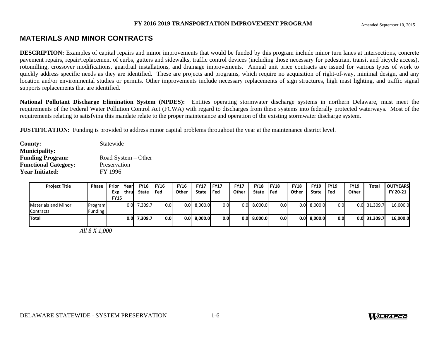# **MATERIALS AND MINOR CONTRACTS**

**DESCRIPTION:** Examples of capital repairs and minor improvements that would be funded by this program include minor turn lanes at intersections, concrete pavement repairs, repair/replacement of curbs, gutters and sidewalks, traffic control devices (including those necessary for pedestrian, transit and bicycle access), rotomilling, crossover modifications, guardrail installations, and drainage improvements. Annual unit price contracts are issued for various types of work to quickly address specific needs as they are identified. These are projects and programs, which require no acquisition of right-of-way, minimal design, and any location and/or environmental studies or permits. Other improvements include necessary replacements of sign structures, high mast lighting, and traffic signal supports replacements that are identified.

**National Pollutant Discharge Elimination System (NPDES):** Entities operating stormwater discharge systems in northern Delaware, must meet the requirements of the Federal Water Pollution Control Act (FCWA) with regard to discharges from these systems into federally protected waterways. Most of the requirements relating to satisfying this mandate relate to the proper maintenance and operation of the existing stormwater discharge system.

**JUSTIFICATION:** Funding is provided to address minor capital problems throughout the year at the maintenance district level.

| <b>County:</b>              | Statewide           |
|-----------------------------|---------------------|
| <b>Municipality:</b>        |                     |
| <b>Funding Program:</b>     | Road System - Other |
| <b>Functional Category:</b> | Preservation        |
| <b>Year Initiated:</b>      | FY 1996             |

| <b>Project Title</b>       | <b>Phase</b>   | <b>Prior</b> | Yearl | <b>FY16</b>  | <b>FY16</b>      | <b>FY16</b> | <b>FY17</b> | <b>FY17</b>      | <b>FY17</b> | <b>FY18</b>  | <b>FY18</b> | <b>FY18</b> | <b>FY19</b>   | <b>FY19</b> | <b>FY19</b> | Total    | <b>OUTYEARS</b> |
|----------------------------|----------------|--------------|-------|--------------|------------------|-------------|-------------|------------------|-------------|--------------|-------------|-------------|---------------|-------------|-------------|----------|-----------------|
|                            |                | Exp          | thrul | <b>State</b> | Fed              | Other       | State       | l Fed            | Other       | <b>State</b> | l Fed       | Other       | State         | Fed         | Other       |          | FY 20-21        |
|                            |                | <b>FY15</b>  |       |              |                  |             |             |                  |             |              |             |             |               |             |             |          |                 |
| <b>Materials and Minor</b> | Program        |              | 0.0   | 7,309.7      | 0.0              | 0.01        | 8,000.0     | 0.0              | 0.01        | 8,000.0      | 0.01        | 0.0         | 8,000.0       | 0.01        | 0.0         | 31,309.7 | 16,000.0        |
| <b>Contracts</b>           | <b>Funding</b> |              |       |              |                  |             |             |                  |             |              |             |             |               |             |             |          |                 |
| <b>Total</b>               |                |              | 0.0   | 7,309.7      | 0.0 <sub>l</sub> | 0.01        | 8,000.0     | 0.0 <sub>l</sub> | 0.01        | 8.000.0      | 0.01        |             | $0.0$ 8,000.0 | 0.01        | 0.01        | 31,309.7 | 16,000.0        |
|                            |                |              |       |              |                  |             |             |                  |             |              |             |             |               |             |             |          |                 |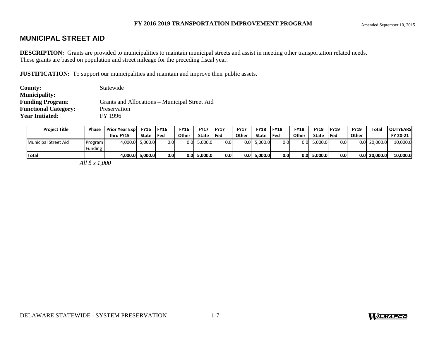# **MUNICIPAL STREET AID**

**DESCRIPTION:** Grants are provided to municipalities to maintain municipal streets and assist in meeting other transportation related needs. These grants are based on population and street mileage for the preceding fiscal year.

**JUSTIFICATION:** To support our municipalities and maintain and improve their public assets.

| County:                     | Statewide                                     |
|-----------------------------|-----------------------------------------------|
| <b>Municipality:</b>        |                                               |
| <b>Funding Program:</b>     | Grants and Allocations – Municipal Street Aid |
| <b>Functional Category:</b> | Preservation                                  |
| <b>Year Initiated:</b>      | FY 1996                                       |

| <b>Project Title</b>        | Phase              | <b>Prior Year Expl</b> | <b>FY16</b> | <b>FY16</b> | <b>FY16</b>      | <b>FY17</b> | <b>FY17</b> | <b>FY17</b> | <b>FY18</b> | <b>FY18</b>      | <b>FY18</b> | <b>FY19</b>   | <b>IFY19</b> | <b>FY19</b>      | Total    | <b>OUTYEARS</b> |
|-----------------------------|--------------------|------------------------|-------------|-------------|------------------|-------------|-------------|-------------|-------------|------------------|-------------|---------------|--------------|------------------|----------|-----------------|
|                             |                    | thru FY15              | State       | Fed         | Other            | State       | Fed         | Other       | State       | l Fed            | Other       | State         | l Fed        | Other            |          | FY 20-21        |
| <b>Municipal Street Aid</b> | Program<br>Funding | 4.000.0                | 5.000.0     | 0.0         | 0.0              | 5,000.0     | 0.0         | 0.01        | 5,000.0     | 0.0 <sub>l</sub> |             | $0.0$ 5,000.0 | 0.0          | 0.0              | 20,000.0 | 10,000.0        |
| Total                       |                    | 4.000.0 <b>1</b>       | 5,000.0     | 0.0         | 0.0 <sub>l</sub> | 5.000.0     | 0.0         | 0.0         | 5,000.0     | 0.01             |             | $0.0$ 5.000.0 | 0.0          | 0.0 <sub>l</sub> | 20.000.0 | 10.000.0        |

*All \$ x 1,000* 

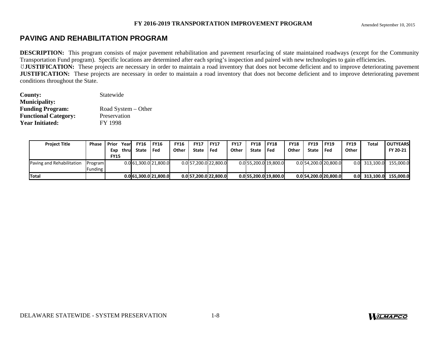# **PAVING AND REHABILITATION PROGRAM**

**DESCRIPTION:** This program consists of major pavement rehabilitation and pavement resurfacing of state maintained roadways (except for the Community Transportation Fund program). Specific locations are determined after each spring's inspection and paired with new technologies to gain efficiencies.

ꀀ**JUSTIFICATION:** These projects are necessary in order to maintain a road inventory that does not become deficient and to improve deteriorating pavement **JUSTIFICATION:** These projects are necessary in order to maintain a road inventory that does not become deficient and to improve deteriorating pavement conditions throughout the State.

| <b>County:</b>              | Statewide           |
|-----------------------------|---------------------|
| <b>Municipality:</b>        |                     |
| <b>Funding Program:</b>     | Road System – Other |
| <b>Functional Category:</b> | Preservation        |
| <b>Year Initiated:</b>      | <b>FY 1998</b>      |

| <b>Project Title</b>      | <b>Phase   Prior</b> |             | Yearl | <b>FY16 IFY16</b> |                       | <b>FY16</b> | <b>FY17</b> | <b>IFY17</b>            | <b>FY17</b> | <b>FY18</b> | <b>FY18</b>           | <b>FY18</b> | <b>FY19</b> | <b>IFY19</b>            | <b>FY19</b> | Total           | <b>LOUTYEARS</b> |
|---------------------------|----------------------|-------------|-------|-------------------|-----------------------|-------------|-------------|-------------------------|-------------|-------------|-----------------------|-------------|-------------|-------------------------|-------------|-----------------|------------------|
|                           |                      | Exp         | thru  | State   Fed       |                       | Other       | State       | l Fed                   | Other       | State       | l Fed                 | Other       | State       | l Fed                   | Other       |                 | FY 20-21         |
|                           |                      | <b>FY15</b> |       |                   |                       |             |             |                         |             |             |                       |             |             |                         |             |                 |                  |
| Paving and Rehabilitation | Program              |             |       |                   | 0.0 61.300.0 21.800.0 |             |             | $0.0$ 57,200.0 22,800.0 |             |             | 0.0 55,200.0 19,800.0 |             |             | $0.0$ 54,200.0 20,800.0 |             | 0.0 313,100.0   | 155,000.0        |
|                           | Funding              |             |       |                   |                       |             |             |                         |             |             |                       |             |             |                         |             |                 |                  |
| <b>Total</b>              |                      |             |       |                   | 0.0 61.300.0 21.800.0 |             |             | $0.0$ 57,200.0 22,800.0 |             |             | 0.0 55.200.0 19.800.0 |             |             | 0.0 54, 200.0 20, 800.0 |             | $0.0$ 313,100.0 | 155.000.0        |

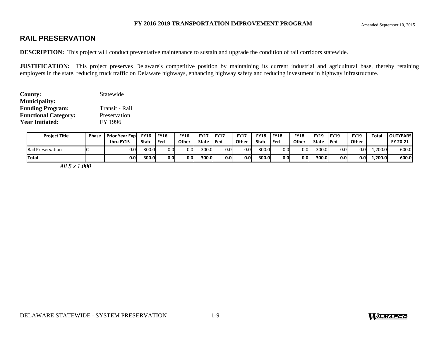# **RAIL PRESERVATION**

**DESCRIPTION:** This project will conduct preventative maintenance to sustain and upgrade the condition of rail corridors statewide.

**JUSTIFICATION:** This project preserves Delaware's competitive position by maintaining its current industrial and agricultural base, thereby retaining employers in the state, reducing truck traffic on Delaware highways, enhancing highway safety and reducing investment in highway infrastructure.

| County:                     | Statewide      |
|-----------------------------|----------------|
| <b>Municipality:</b>        |                |
| <b>Funding Program:</b>     | Transit - Rail |
| <b>Functional Category:</b> | Preservation   |
| <b>Year Initiated:</b>      | FY 1996        |

| <b>Project Title</b>     | Phase | <b>Prior Year Expl</b><br>thru FY15 | <b>FY16</b><br>State | <b>FY16</b><br>Fed | <b>FY16</b><br>Other | <b>FY17</b><br>State | <b>FY17</b><br>Fed | <b>FY17</b><br>Other | <b>FY18</b><br>State | <b>FY18</b><br>l Fed | <b>FY18</b><br>Other | <b>FY19</b><br><b>State</b> | <b>FY19</b><br>Fed | <b>FY19</b><br>Other | Total   | <b>OUTYEARS</b><br>FY 20-21 |
|--------------------------|-------|-------------------------------------|----------------------|--------------------|----------------------|----------------------|--------------------|----------------------|----------------------|----------------------|----------------------|-----------------------------|--------------------|----------------------|---------|-----------------------------|
| <b>Rail Preservation</b> |       |                                     | 300.0                | 0.0                | 0.0                  | 300.0                | 0.0                | 0.0                  | 300.0                | 0.01                 | 0.0                  | 300.0                       | 0.01               | 0.0                  | .200.0  | 600.0                       |
| <b>Total</b>             |       | 0.0                                 | 300.0l               | 0.0                | 0.0                  | 300.0                | 0.0                | 0.0                  | 300.0                | 0.0                  | 0.0                  | 300.0l                      | 0.01               | 0.0.                 | L,200.0 | 600.0                       |

*All \$ x 1,000* 

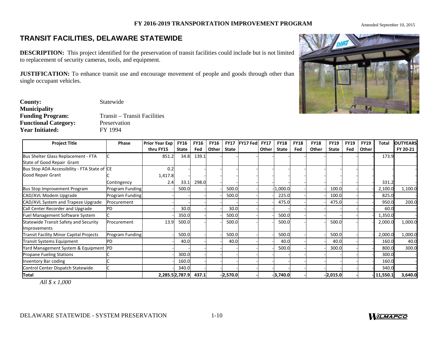Amended September 10, 2015

# **TRANSIT FACILITIES, DELAWARE STATEWIDE**

**DESCRIPTION:** This project identified for the preservation of transit facilities could include but is not limited to replacement of security cameras, tools, and equipment.

**JUSTIFICATION:** To enhance transit use and encourage movement of people and goods through other than single occupant vehicles.

| <b>County:</b>              | Statewide                           |
|-----------------------------|-------------------------------------|
| <b>Municipality</b>         |                                     |
| <b>Funding Program:</b>     | <b>Transit</b> – Transit Facilities |
| <b>Functional Category:</b> | Preservation                        |
| <b>Year Initiated:</b>      | FY 1994                             |

| <b>Project Title</b>                                                     | Phase           | <b>Prior Year Exp</b><br>thru FY15 | <b>FY16</b><br>State | <b>FY16</b><br>Fed | <b>FY16</b><br>Other I | <b>State</b> | FY17 FY17 Fed | <b>FY17</b><br>Other | <b>FY18</b><br>State | <b>FY18</b><br>Fed | <b>FY18</b><br>Other | <b>FY19</b><br><b>State</b> | <b>FY19</b><br>Fed | <b>FY19</b><br>Other | <b>Total</b> | <b>OUTYEARS</b><br>FY 20-21 |
|--------------------------------------------------------------------------|-----------------|------------------------------------|----------------------|--------------------|------------------------|--------------|---------------|----------------------|----------------------|--------------------|----------------------|-----------------------------|--------------------|----------------------|--------------|-----------------------------|
| Bus Shelter Glass Replacement - FTA<br>State of Good Repair Grant        |                 | 851.2                              | 34.8                 | 139.1              |                        |              |               |                      |                      |                    |                      |                             |                    |                      | 173.9        |                             |
| Bus Stop ADA Accessibility - FTA State of CE<br><b>Good Repair Grant</b> | Contingency     | 0.2<br>1,417.8<br>2.4              | 33.1                 | 298.0              |                        |              |               |                      |                      |                    |                      |                             |                    |                      | 331.2        |                             |
| <b>Bus Stop Improvement Program</b>                                      | Program Funding |                                    | 500.0                |                    |                        | 500.0        |               |                      | 1,000.0              |                    |                      | 100.0                       |                    |                      | 2,100.0      | 1,100.0                     |
| CAD/AVL Modem Upgrade                                                    | Program Funding |                                    |                      |                    |                        | 500.0        |               |                      | 225.0                |                    |                      | 100.0                       |                    |                      | 825.0        |                             |
| CAD/AVL System and Trapeze Upgrade                                       | Procurement     |                                    |                      |                    |                        |              |               |                      | 475.0                |                    |                      | 475.0                       |                    |                      | 950.0        | 200.0                       |
| Call Center Recorder and Upgrade                                         | PD              |                                    | 30.0                 |                    |                        | 30.0         |               |                      |                      |                    |                      |                             |                    |                      | 60.0         |                             |
| <b>Fuel Management Software System</b>                                   |                 |                                    | 350.0                |                    |                        | 500.0        |               |                      | 500.0                |                    |                      |                             |                    |                      | 1,350.0      |                             |
| Statewide Transit Safety and Security<br>Improvements                    | Procurement     | 13.9                               | 500.0                |                    |                        | 500.0        |               |                      | 500.0                |                    |                      | 500.0                       |                    |                      | 2,000.0      | 1,000.0                     |
| <b>Transit Facility Minor Capital Projects</b>                           | Program Funding |                                    | 500.0                |                    |                        | 500.0        |               |                      | 500.0                |                    |                      | 500.0                       |                    |                      | 2,000.0      | 1,000.0                     |
| <b>Transit Systems Equipment</b>                                         | PD              |                                    | 40.0                 |                    |                        | 40.0         |               |                      | 40.0                 |                    |                      | 40.0                        |                    |                      | 160.0        | 40.0                        |
| Yard Management System & Equipment  PD                                   |                 |                                    |                      |                    |                        |              |               |                      | 500.0                |                    |                      | 300.0                       |                    |                      | 800.0        | 300.0                       |
| <b>Propane Fueling Stations</b>                                          |                 |                                    | 300.0                |                    |                        |              |               |                      |                      |                    |                      |                             |                    |                      | 300.0        |                             |
| Inventory Bar coding                                                     |                 |                                    | 160.0                |                    |                        |              |               |                      |                      |                    |                      |                             |                    |                      | 160.0        |                             |
| Control Center Dispatch Statewide                                        |                 |                                    | 340.0                |                    |                        |              |               |                      |                      |                    |                      |                             |                    |                      | 340.0        |                             |
| <b>Total</b>                                                             |                 | 2,285.52,787.9                     |                      | 437.1              |                        | $-2,570.0$   |               |                      | $-3,740.0$           |                    |                      | $-2,015.0$                  |                    |                      | 11,550.1     | 3,640.0                     |



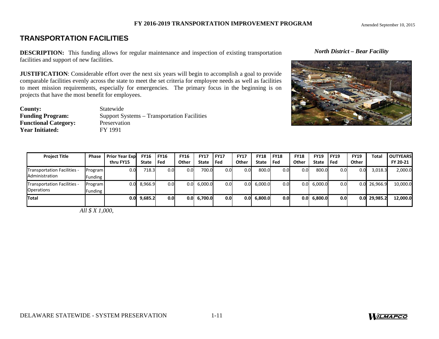# **TRANSPORTATION FACILITIES**

**DESCRIPTION:** This funding allows for regular maintenance and inspection of existing transportation facilities and support of new facilities.

**JUSTIFICATION**: Considerable effort over the next six years will begin to accomplish a goal to provide comparable facilities evenly across the state to meet the set criteria for employee needs as well as facilities to meet mission requirements, especially for emergencies. The primary focus in the beginning is on projects that have the most benefit for employees.

| <b>County:</b>              | Statewide                                   |
|-----------------------------|---------------------------------------------|
| <b>Funding Program:</b>     | Support Systems – Transportation Facilities |
| <b>Functional Category:</b> | Preservation                                |
| <b>Year Initiated:</b>      | FY 1991                                     |

### *North District – Bear Facility*



| <b>Project Title</b>        | <b>Phase</b> | <b>Prior Year Expl</b> | <b>FY16</b> | FY16  | <b>FY16</b>     | <b>FY17</b>         | <b>FY17</b>      | <b>FY17</b> | <b>FY18</b>   | <b>FY18</b>      | <b>FY18</b> | <b>FY19</b>   | <b>FY19</b>      | <b>FY19</b>      | Total    | <b>OUTYEARS</b> |
|-----------------------------|--------------|------------------------|-------------|-------|-----------------|---------------------|------------------|-------------|---------------|------------------|-------------|---------------|------------------|------------------|----------|-----------------|
|                             |              | thru FY15              | State       | ' Fed | Other           | <b>State</b>        | l Fed            | Other       | State         | l Fed            | Other       | <b>State</b>  | l Fed            | Other            |          | FY 20-21        |
| Transportation Facilities - | Program      | 0.0                    | 718.3       | 0.01  | 0.0             | 700.0               | 0.0 <sub>l</sub> | 0.0         | 800.0         | 0.0              | 0.0         | 800.0         | 0.01             | 0.0              | 3.018.3  | 2,000.0         |
| Administration              | Funding      |                        |             |       |                 |                     |                  |             |               |                  |             |               |                  |                  |          |                 |
| Transportation Facilities - | Program      |                        | 8,966.9     | 0.01  | $0.0\mathsf{I}$ | 6,000.0             | 0.0 <sub>l</sub> | 0.0         | 6,000.0       | 0.0              | 0.01        | 6,000.0       | 0.0              | 0.0              | 26,966.9 | 10,000.0        |
| <b>Operations</b>           | Funding      |                        |             |       |                 |                     |                  |             |               |                  |             |               |                  |                  |          |                 |
| Total                       |              | 0.0                    | 9,685.2     | 0.01  |                 | $0.0 \quad 6,700.0$ | 0.0 <sub>l</sub> |             | $0.0$ 6.800.0 | 0.0 <sub>l</sub> |             | $0.0$ 6,800.0 | 0.0 <sub>l</sub> | 0.0 <sub>l</sub> | 29,985.2 | 12,000.0        |
|                             |              |                        |             |       |                 |                     |                  |             |               |                  |             |               |                  |                  |          |                 |

 *All \$ X 1,000,*

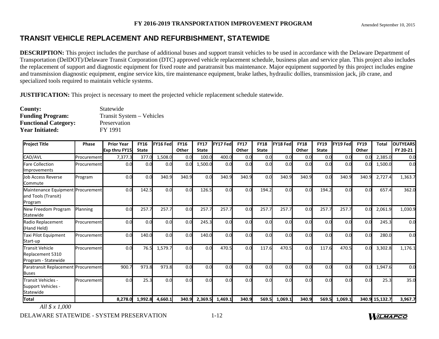# **TRANSIT VEHICLE REPLACEMENT AND REFURBISHMENT, STATEWIDE**

**DESCRIPTION:** This project includes the purchase of additional buses and support transit vehicles to be used in accordance with the Delaware Department of Transportation (DelDOT)/Delaware Transit Corporation (DTC) approved vehicle replacement schedule, business plan and service plan. This project also includes the replacement of support and diagnostic equipment for fixed route and paratransit bus maintenance. Major equipment supported by this project includes engine and transmission diagnostic equipment, engine service kits, tire maintenance equipment, brake lathes, hydraulic dollies, transmission jack, jib crane, and specialized tools required to maintain vehicle systems.

**JUSTIFICATION:** This project is necessary to meet the projected vehicle replacement schedule statewide.

| County:                     | Statewide                 |
|-----------------------------|---------------------------|
| <b>Funding Program:</b>     | Transit System – Vehicles |
| <b>Functional Category:</b> | Preservation              |
| <b>Year Initiated:</b>      | FY 1991                   |

| <b>Project Title</b>                                                | <b>Phase</b> | <b>Prior Year</b> | <b>FY16</b>  | FY16 Fed | <b>FY16</b> | <b>FY17</b>  | FY17 Fed        | <b>FY17</b> | <b>FY18</b>     | <b>FY18 Fed</b> | <b>FY18</b> | <b>FY19</b>  | <b>FY19 Fed</b> | <b>FY19</b> | <b>Total</b>   | <b>OUTYEARS</b> |
|---------------------------------------------------------------------|--------------|-------------------|--------------|----------|-------------|--------------|-----------------|-------------|-----------------|-----------------|-------------|--------------|-----------------|-------------|----------------|-----------------|
|                                                                     |              | Exp thru FY15     | <b>State</b> |          | Other       | <b>State</b> |                 | Other       | <b>State</b>    |                 | Other       | <b>State</b> |                 | Other       |                | FY 20-21        |
| CAD/AVL                                                             | Procurement  | 7,377.3           | 377.0        | 1,508.0  | 0.0         | 100.0        | 400.0           | 0.0         | 0.0             | 0.0             | 0.0         | 0.0          | 0.0             | 0.0         | 2,385.0        | 0.0             |
| <b>Fare Collection</b><br>Improvements                              | Procurement  | 0.0               | 0.0          | 0.0      | 0.0         | 1,500.0      | 0.0             | 0.0         | 0.0             | 0.0             | 0.0         | 0.0          | 0.0             | 0.0         | 1,500.0        | 0.0             |
| Job Access Reverse<br>Commute                                       | Program      | 0.0               | 0.0          | 340.9    | 340.9       | 0.0          | 340.9           | 340.9       | 0.0             | 340.9           | 340.9       | 0.0          | 340.9           | 340.9       | 2,727.4        | 1,363.7         |
| Maintenance Equipment Procurement<br>and Tools (Transit)<br>Program |              | 0.0               | 142.5        | 0.0      | 0.0         | 126.5        | 0.0             | 0.0         | 194.2           | 0.0             | 0.0         | 194.2        | 0.0             | 0.0         | 657.4          | 362.0           |
| New Freedom Program<br>Statewide                                    | Planning     | 0.0               | 257.7        | 257.7    | 0.0         | 257.7        | 257.7           | 0.0         | 257.7           | 257.7           | 0.0         | 257.7        | 257.7           | 0.0         | 2,061.9        | 1,030.9         |
| Radio Replacement<br>(Hand Held)                                    | Procurement  | 0.0               | 0.0          | 0.0      | 0.0         | 245.3        | 0.0             | 0.0         | 0.0             | 0.0             | 0.0         | 0.0          | 0.0             | 0.0         | 245.3          | 0.0             |
| Taxi Pilot Equipment<br>Start-up                                    | Procurement  | 0.0               | 140.0        | 0.0      | 0.0         | 140.0        | 0.0             | 0.0         | 0.0             | 0.0             | 0.0         | 0.0          | 0.0             | 0.0         | 280.0          | 0.0             |
| <b>Transit Vehicle</b><br>Replacement 5310<br>Program - Statewide   | Procurement  | 0.0               | 76.5         | 1,579.7  | 0.0         | 0.0          | 470.5           | 0.0         | 117.6           | 470.5           | 0.0         | 117.6        | 470.5           | 0.0         | 3,302.8        | 1,176.1         |
| Paratransit Replacement Procurement<br><b>Buses</b>                 |              | 900.7             | 973.8        | 973.8    | 0.0         | 0.0          | 0.0             | 0.0         | 0. <sub>C</sub> | 0.0             | 0.0         | 0.0          | 0.0             | 0.0         | 1,947.6        | 0.0             |
| Transit Vehicles -<br>Support Vehicles -<br>Statewide               | Procurement  | 0.0               | 25.3         | 0.0      | 0.0         | 0.0          | 0.0             | 0.0         | 0.0             | 0.0             | 0.0         | 0.0          | 0.0             | 0.0         | 25.3           | 35.0            |
| Total                                                               |              | 8,278.0           | 1,992.8      | 4,660.1  | 340.9       |              | 2,369.5 1,469.1 | 340.9       | 569.5           | 1,069.1         | 340.9       | 569.5        | 1,069.1         |             | 340.9 15,132.7 | 3,967.7         |

*All \$ x 1,000*

DELAWARE STATEWIDE - SYSTEM PRESERVATION 1-12

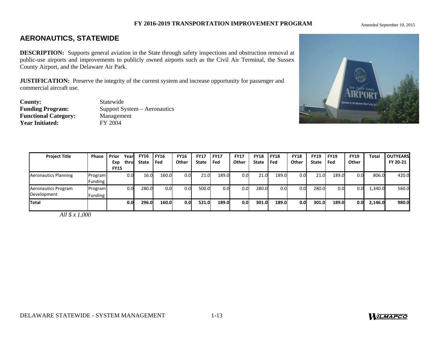Amended September 10, 2015

# **AERONAUTICS, STATEWIDE**

**DESCRIPTION:** Supports general aviation in the State through safety inspections and obstruction removal at public-use airports and improvements to publicly owned airports such as the Civil Air Terminal, the Sussex County Airport, and the Delaware Air Park.

**JUSTIFICATION:** Preserve the integrity of the current system and increase opportunity for passenger and commercial aircraft use.

**County:** Statewide<br> **Funding Program:** Support Systems **Functional Category:** Managem<br> **Year Initiated:** FY 2004 **Year Initiated:** 

**Support System – Aeronautics<br>Management** 



| <b>Project Title</b>               | <b>Phase</b>              | Prior              | Yearl<br>thrul | <b>FY16</b><br><b>State</b> | <b>FY16</b><br>Fed | <b>FY16</b><br>Other | <b>FY17</b><br><b>State</b> | <b>FY17</b><br>Fed | <b>FY17</b><br>Other | <b>FY18</b><br><b>State</b> | <b>FY18</b><br>l Fed | <b>FY18</b><br>Other | <b>FY19</b> | <b>FY19</b><br>Fed | <b>FY19</b><br>Other | Total   | <b>OUTYEARS</b><br>FY 20-21 |
|------------------------------------|---------------------------|--------------------|----------------|-----------------------------|--------------------|----------------------|-----------------------------|--------------------|----------------------|-----------------------------|----------------------|----------------------|-------------|--------------------|----------------------|---------|-----------------------------|
|                                    |                           | Exp<br><b>FY15</b> |                |                             |                    |                      |                             |                    |                      |                             |                      |                      | State       |                    |                      |         |                             |
| <b>Aeronautics Planning</b>        | Program<br><b>Funding</b> |                    | 0.01           | 16.0                        | 160.0              | 0.0 <sub>l</sub>     | 21.0                        | 189.0              | 0.0                  | 21.0                        | 189.0                | 0.0                  | 21.0        | 189.0              | 0.0                  | 806.0   | 420.0                       |
| Aeronautics Program<br>Development | Program<br>Funding        |                    | 0.0            | 280.0                       | 0.0                | 0.0                  | 500.0                       | 0.0                | 0.0                  | 280.0                       | 0.0 <sub>l</sub>     | 0.0                  | 280.0       | 0.01               | 0.0                  | 1,340.0 | 560.0                       |
| Total                              |                           |                    | 0.0            | 296.Ol                      | 160.0              | 0.0                  | 521.0                       | 189.0              | 0.0                  | 301.0                       | 189.0                | 0.0 <sub>l</sub>     | 301.0       | 189.0              | 0.0                  | 2,146.0 | 980.0                       |

*All \$ x 1,000* 

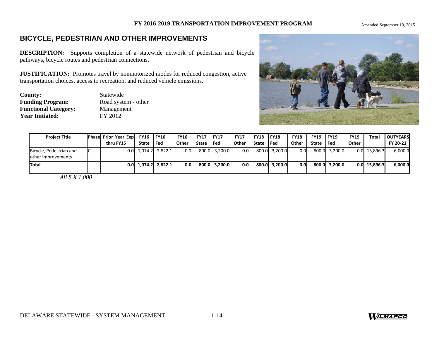Amended September 10, 2015

# **BICYCLE, PEDESTRIAN AND OTHER IMPROVEMENTS**

**DESCRIPTION:** Supports completion of a statewide network of pedestrian and bicycle pathways, bicycle routes and pedestrian connections.

**JUSTIFICATION:** Promotes travel by nonmotorized modes for reduced congestion, active transportation choices, access to recreation, and reduced vehicle emissions.

**County:** Statewide<br> **Funding Program:** Road syste Road system - other **Functional Category:** Management<br> **FY 2012 Year Initiated:** 



| <b>Project Title</b>                          | <b>Phase Prior Year Exp FY16 FY16</b><br>thru FY15 | <b>State</b> | l Fed                 | <b>FY16</b><br><b>Other</b> | <b>FY17</b><br>State | <b>FY17</b><br>l Fed | <b>FY17</b><br>Other | <b>FY18 IFY18</b><br>State I Fed |               | <b>FY18</b><br>Other | <b>FY19</b><br>State | l FY19<br>l Fed | <b>FY19</b><br>Other | Total    | <b>OUTYEARS</b><br>FY 20-21 |
|-----------------------------------------------|----------------------------------------------------|--------------|-----------------------|-----------------------------|----------------------|----------------------|----------------------|----------------------------------|---------------|----------------------|----------------------|-----------------|----------------------|----------|-----------------------------|
| Bicycle, Pedestrian and<br>other Improvements | 0.0                                                |              | $1,074.2$ 2,822.1     | 0.0                         |                      | 800.0 3.200.0        | 0.0 <sub>l</sub>     |                                  | 800.0 3.200.0 | 0.01                 |                      | 800.0 3.200.0   | 0.0                  | 15,896.3 | 6,000.0                     |
| <b>Total</b>                                  |                                                    |              | $0.0$ 1,074.2 2,822.1 | 0.0                         |                      | 800.0 3.200.0        | 0.01                 |                                  | 800.0 3,200.0 | 0.01                 |                      | 800.0 3,200.0   | 0.0                  | 15.896.3 | 6.000.0                     |

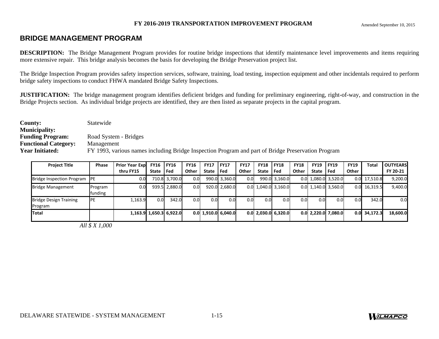# **BRIDGE MANAGEMENT PROGRAM**

**DESCRIPTION:** The Bridge Management Program provides for routine bridge inspections that identify maintenance level improvements and items requiring more extensive repair. This bridge analysis becomes the basis for developing the Bridge Preservation project list.

The Bridge Inspection Program provides safety inspection services, software, training, load testing, inspection equipment and other incidentals required to perform bridge safety inspections to conduct FHWA mandated Bridge Safety Inspections.

**JUSTIFICATION:** The bridge management program identifies deficient bridges and funding for preliminary engineering, right-of-way, and construction in the Bridge Projects section. As individual bridge projects are identified, they are then listed as separate projects in the capital program.

| <b>County:</b>              | Statewide                                                                                          |
|-----------------------------|----------------------------------------------------------------------------------------------------|
| <b>Municipality:</b>        |                                                                                                    |
| <b>Funding Program:</b>     | Road System - Bridges                                                                              |
| <b>Functional Category:</b> | Management                                                                                         |
| <b>Year Initiated:</b>      | FY 1993, various names including Bridge Inspection Program and part of Bridge Preservation Program |

| <b>Project Title</b>                     | <b>Phase</b>       | <b>Prior Year Expl</b> | <b>FY16</b>      | FY16                    | <b>FY16</b> | <b>FY17 FY17</b> |                       | <b>FY17</b> | <b>FY18</b>      | <b>FY18</b>           | <b>FY18</b>      | <b>FY19</b>  | <b>FY19</b>           | <b>FY19</b> | Total          | <b>OUTYEARS</b> |
|------------------------------------------|--------------------|------------------------|------------------|-------------------------|-------------|------------------|-----------------------|-------------|------------------|-----------------------|------------------|--------------|-----------------------|-------------|----------------|-----------------|
|                                          |                    | thru FY15              | <b>State</b>     | l Fed                   | Other       | State Fed        |                       | Other       | State   Fed      |                       | Other            | <b>State</b> | Fed                   | Other       |                | FY 20-21        |
| Bridge Inspection Program PE             |                    | 0.0                    |                  | 710.8 3,700.0           | 0.0         |                  | 990.0 3,360.0         | 0.0         |                  | 990.0 3,160.0         |                  |              | $0.0$ 1,080.0 3,520.0 | 0.0         | 17,510.8       | 9,200.0         |
| <b>Bridge Management</b>                 | Program<br>funding | 0.0                    |                  | 939.5 2,880.0           | 0.0         |                  | 920.0 2,680.0         |             |                  | $0.0$ 1,040.0 3,160.0 |                  |              | $0.0$ 1,140.0 3,560.0 | 0.0         | 16,319.5       | 9,400.0         |
| <b>Bridge Design Training</b><br>Program | <b>IPE</b>         | 1,163.9                | 0.0 <sub>l</sub> | 342.0                   | 0.0         | 0.0              | 0.01                  | 0.0         | 0.0 <sub>l</sub> | 0.0                   | 0.0 <sub>l</sub> | 0.0          | 0.0                   | 0.0         | 342.0          | 0.0             |
| Total                                    |                    |                        |                  | 1,163.9 1,650.3 6,922.0 |             |                  | $0.0$ 1,910.0 6,040.0 |             |                  | $0.0$ 2,030.0 6,320.0 |                  |              | $0.0$ 2,220.0 7,080.0 |             | $0.0$ 34,172.3 | 18,600.0        |

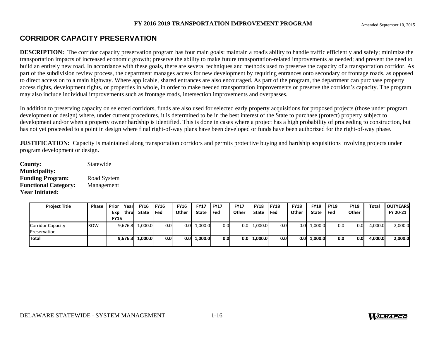# **CORRIDOR CAPACITY PRESERVATION**

**DESCRIPTION:** The corridor capacity preservation program has four main goals: maintain a road's ability to handle traffic efficiently and safely; minimize the transportation impacts of increased economic growth; preserve the ability to make future transportation-related improvements as needed; and prevent the need to build an entirely new road. In accordance with these goals, there are several techniques and methods used to preserve the capacity of a transportation corridor. As part of the subdivision review process, the department manages access for new development by requiring entrances onto secondary or frontage roads, as opposed to direct access on to a main highway. Where applicable, shared entrances are also encouraged. As part of the program, the department can purchase property access rights, development rights, or properties in whole, in order to make needed transportation improvements or preserve the corridor's capacity. The program may also include individual improvements such as frontage roads, intersection improvements and overpasses.

In addition to preserving capacity on selected corridors, funds are also used for selected early property acquisitions for proposed projects (those under program development or design) where, under current procedures, it is determined to be in the best interest of the State to purchase (protect) property subject to development and/or when a property owner hardship is identified. This is done in cases where a project has a high probability of proceeding to construction, but has not yet proceeded to a point in design where final right-of-way plans have been developed or funds have been authorized for the right-of-way phase.

**JUSTIFICATION:** Capacity is maintained along transportation corridors and permits protective buying and hardship acquisitions involving projects under program development or design.

**County:** Statewide **Municipality: Funding Program:** Road System **Functional Category:** Management **Year Initiated:** 

| <b>Project Title</b> | Phase      | Prior       | Yearl | <b>FY16 FY16</b> |      | <b>FY16</b> | <b>FY17</b> | <b>FY17</b>      | <b>FY17</b> | <b>FY18</b>  | <b>IFY18</b>     | <b>FY18</b> | <b>FY19</b>   | <b>FY19</b> | <b>FY19</b>      | Total   | <b>OUTYEARS</b> |
|----------------------|------------|-------------|-------|------------------|------|-------------|-------------|------------------|-------------|--------------|------------------|-------------|---------------|-------------|------------------|---------|-----------------|
|                      |            | Exp         | thru  | State Fed        |      | Other       | State       | l Fed            | Other       | <b>State</b> | l Fed            | Other       | State         | l Fed       | Other            |         | FY 20-21        |
|                      |            | <b>FY15</b> |       |                  |      |             |             |                  |             |              |                  |             |               |             |                  |         |                 |
| Corridor Capacity    | <b>ROW</b> | 9,676.3     |       | 1,000.0          | 0.01 | 0.0         | 1,000.0     | 0.0              | $0.0\,$     | 1,000.0      | 0.0              | 0.0         | 1,000.0       | 0.01        | 0.01             | 4,000.0 | 2,000.0         |
| Preservation         |            |             |       |                  |      |             |             |                  |             |              |                  |             |               |             |                  |         |                 |
| Total                |            | 9,676.3     |       | 1,000.0          | 0.01 | 0.0         | 1,000.0     | 0.0 <sub>l</sub> | 0.0         | 1,000.0      | 0.0 <sub>l</sub> |             | $0.0$ 1,000.0 | 0.01        | 0.0 <sub>l</sub> | 4,000.0 | 2,000.0         |
|                      |            |             |       |                  |      |             |             |                  |             |              |                  |             |               |             |                  |         |                 |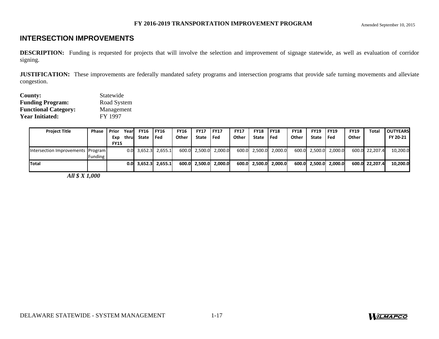# **INTERSECTION IMPROVEMENTS**

**DESCRIPTION:** Funding is requested for projects that will involve the selection and improvement of signage statewide, as well as evaluation of corridor signing.

**JUSTIFICATION:** These improvements are federally mandated safety programs and intersection programs that provide safe turning movements and alleviate congestion.

| <b>County:</b>              | Statewide   |
|-----------------------------|-------------|
| <b>Funding Program:</b>     | Road System |
| <b>Functional Category:</b> | Management  |
| <b>Year Initiated:</b>      | FY 1997     |

| <b>Project Title</b>              | <b>Phase</b>   | Prior       | Yearl | <b>FY16</b> | l FY16                | <b>FY16</b> | <b>FY17</b> | <b>FY17</b>           | <b>FY17</b>  | <b>FY18</b> | <b>FY18</b>           | <b>FY18</b> | <b>FY19</b> | FY19                  | <b>FY19</b> | Total          | <b>LOUTYEARS</b> |
|-----------------------------------|----------------|-------------|-------|-------------|-----------------------|-------------|-------------|-----------------------|--------------|-------------|-----------------------|-------------|-------------|-----------------------|-------------|----------------|------------------|
|                                   |                | Exp         | thrul | State       | l Fed                 | Other       | State       | l Fed                 | <b>Other</b> | State Fed   |                       | Other       | State Fed   |                       | Other       |                | FY 20-21         |
|                                   |                | <b>FY15</b> |       |             |                       |             |             |                       |              |             |                       |             |             |                       |             |                |                  |
| Intersection Improvements Program |                |             |       |             | $0.0$ 3,652.3 2,655.1 |             |             | 600.0 2,500.0 2,000.0 |              |             | 600.0 2,500.0 2,000.0 |             |             | 600.0 2,500.0 2,000.0 |             | 600.0 22,207.4 | 10,200.0         |
|                                   | <b>Funding</b> |             |       |             |                       |             |             |                       |              |             |                       |             |             |                       |             |                |                  |
| Total                             |                |             |       |             | $0.0$ 3.652.3 2.655.1 |             |             | 600.0 2.500.0 2.000.0 |              |             | 600.0 2,500.0 2,000.0 |             |             | 600.0 2,500.0 2,000.0 |             | 600.0 22.207.4 | 10.200.0         |
|                                   |                |             |       |             |                       |             |             |                       |              |             |                       |             |             |                       |             |                |                  |

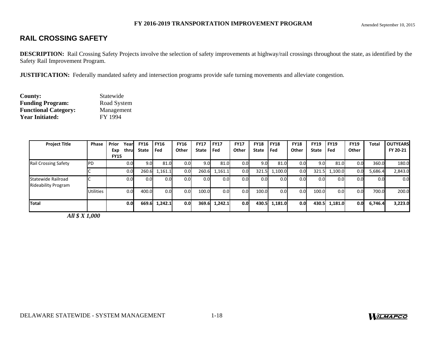# **RAIL CROSSING SAFETY**

**DESCRIPTION:** Rail Crossing Safety Projects involve the selection of safety improvements at highway/rail crossings throughout the state, as identified by the Safety Rail Improvement Program.

**JUSTIFICATION:** Federally mandated safety and intersection programs provide safe turning movements and alleviate congestion.

| <b>County:</b>              | Statewide   |
|-----------------------------|-------------|
| <b>Funding Program:</b>     | Road System |
| <b>Functional Category:</b> | Management  |
| <b>Year Initiated:</b>      | FY 1994     |

| <b>Project Title</b>                             | <b>Phase</b>     | Prior<br>Year<br>thru<br>Exp<br><b>FY15</b> | <b>FY16</b><br>State | <b>FY16</b><br>Fed | <b>FY16</b><br>Other | <b>FY17</b><br><b>State</b> | <b>FY17</b><br><b>Fed</b> | <b>FY17</b><br>Other | <b>FY18</b><br><b>State</b> | <b>FY18</b><br><b>Fed</b> | <b>FY18</b><br>Other | <b>FY19</b><br><b>State</b> | <b>FY19</b><br>Fed | <b>FY19</b><br>Other | Total   | <b>OUTYEARS</b><br>FY 20-21 |
|--------------------------------------------------|------------------|---------------------------------------------|----------------------|--------------------|----------------------|-----------------------------|---------------------------|----------------------|-----------------------------|---------------------------|----------------------|-----------------------------|--------------------|----------------------|---------|-----------------------------|
| <b>Rail Crossing Safety</b>                      | PD               | 0.0                                         | 9.0                  | 81.0               | 0.0                  | 9.0                         | 81.0                      | 0.0                  | 9.0                         | 81.0                      | 0.0                  | 9.0                         | 81.0               | 0.0                  | 360.0   | 180.0                       |
|                                                  |                  | 0.0                                         | 260.6                | 1,161.1            | 0.0                  | 260.6                       | 1,161.1                   | 0.0                  | 321.5                       | 1,100.0                   | 0.0                  | 321.5                       | 1,100.0            | 0.0                  | 5,686.4 | 2,843.0                     |
| Statewide Railroad<br><b>Rideability Program</b> |                  | 0.0                                         | 0.0                  | 0.0                | 0.0 <sub>l</sub>     | 0.0                         | 0.0                       | 0.0                  | 0.0                         | 0.0                       | 0.0                  | 0.0                         | 0.0                | 0.0                  | 0.0     | 0.0                         |
|                                                  | <b>Utilities</b> | 0.0                                         | 400.0                | 0.0                | 0.0                  | 100.0                       | 0.0                       | 0.0                  | 100.0                       | 0.0                       | 0.0                  | 100.0                       | 0.0                | 0.0                  | 700.0   | 200.0                       |
| Total                                            |                  | 0.0                                         | 669.6                | 1,242.1            | 0.0 <sub>l</sub>     | 369.6                       | 1,242.1                   | 0.0                  |                             | 430.5 1,181.0             | 0.0                  | 430.5                       | 1,181.0            | 0.0                  | 6,746.4 | 3,223.0                     |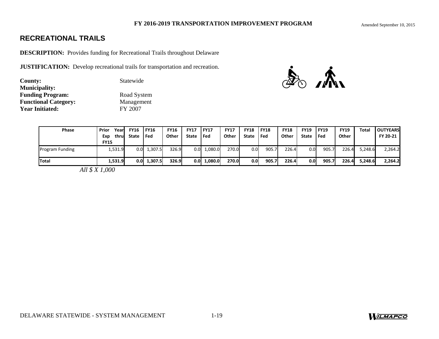# **RECREATIONAL TRAILS**

**DESCRIPTION:** Provides funding for Recreational Trails throughout Delaware

**JUSTIFICATION:** Develop recreational trails for transportation and recreation.

| <b>County:</b>              | Statewide   |
|-----------------------------|-------------|
| <b>Municipality:</b>        |             |
| <b>Funding Program:</b>     | Road System |
| <b>Functional Category:</b> | Management  |
| <b>Year Initiated:</b>      | FY 2007     |



| <b>Phase</b>           | Year<br>Prior | <b>FY16</b>      | <b>FY16</b> | <b>FY16</b> | <b>FY17</b>      | l FY17  | <b>FY17</b> | <b>FY18</b>      | <b>FY18</b> | <b>FY18</b> | FY19  | <b>FY19</b> | <b>FY19</b> | Total   | <b>OUTYEARS</b> |
|------------------------|---------------|------------------|-------------|-------------|------------------|---------|-------------|------------------|-------------|-------------|-------|-------------|-------------|---------|-----------------|
|                        | thrul<br>Exp  | <b>State</b>     | l Fed       | Other       | State            | l Fed   | Other       | <b>State</b>     | <b>Fed</b>  | Other       | State | l Fed       | Other       |         | FY 20-21        |
|                        | <b>FY15</b>   |                  |             |             |                  |         |             |                  |             |             |       |             |             |         |                 |
| <b>Program Funding</b> | L,531.9       | $0.0\,$          | 1,307.5     | 326.9       | 0.0 <sub>l</sub> | 1,080.0 | 270.0       | 0.0              | 905.7       | 226.4       | 0.0   | 905.7       | 226.4       | 5,248.6 | 2,264.2         |
| Total                  | 1,531.9       | 0.0 <sub>l</sub> | 1.307.5     | 326.9       | 0.OI             | 1.080.0 | 270.0       | 0.0 <sub>l</sub> | 905.7       | 226.4       | 0.01  | 905.7       | 226.4       | 5,248.6 | 2,264.2         |
|                        | 111011101     |                  |             |             |                  |         |             |                  |             |             |       |             |             |         |                 |

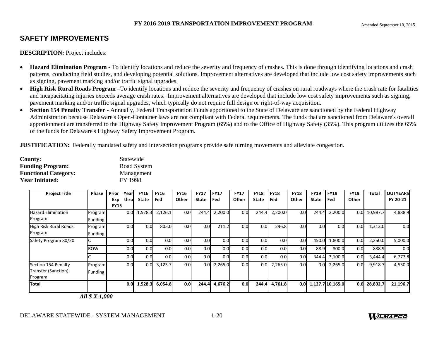# **SAFETY IMPROVEMENTS**

**DESCRIPTION:** Project includes:

- $\bullet$  **Hazard Elimination Program -** To identify locations and reduce the severity and frequency of crashes. This is done through identifying locations and crash patterns, conducting field studies, and developing potential solutions. Improvement alternatives are developed that include low cost safety improvements such as signing, pavement marking and/or traffic signal upgrades.
- **High Risk Rural Roads Program** –To identify locations and reduce the severity and frequency of crashes on rural roadways where the crash rate for fatalities and incapacitating injuries exceeds average crash rates. Improvement alternatives are developed that include low cost safety improvements such as signing, pavement marking and/or traffic signal upgrades, which typically do not require full design or right-of-way acquisition.
- **Section 154 Penalty Transfer** Annually, Federal Transportation Funds apportioned to the State of Delaware are sanctioned by the Federal Highway Administration because Delaware's Open-Container laws are not compliant with Federal requirements. The funds that are sanctioned from Delaware's overall apportionment are transferred to the Highway Safety Improvement Program (65%) and to the Office of Highway Safety (35%). This program utilizes the 65% of the funds for Delaware's Highway Safety Improvement Program.

**JUSTIFICATION:** Federally mandated safety and intersection programs provide safe turning movements and alleviate congestion.

| County:                     | Statewide   |
|-----------------------------|-------------|
| <b>Funding Program:</b>     | Road System |
| <b>Functional Category:</b> | Management  |
| <b>Year Initiated:</b>      | FY 1998     |

| <b>Project Title</b>                                  | <b>Phase</b>         | Prior<br>Year<br>thru<br>Exp | <b>FY16</b><br>State | <b>FY16</b><br>Fed | <b>FY16</b><br>Other | <b>FY17</b><br><b>State</b> | <b>FY17</b><br>Fed | <b>FY17</b><br>Other | <b>FY18</b><br><b>State</b> | <b>FY18</b><br>Fed | <b>FY18</b><br>Other | <b>FY19</b><br><b>State</b> | <b>FY19</b><br>Fed     | <b>FY19</b><br>Other | Total          | <b>OUTYEARS</b><br>FY 20-21 |
|-------------------------------------------------------|----------------------|------------------------------|----------------------|--------------------|----------------------|-----------------------------|--------------------|----------------------|-----------------------------|--------------------|----------------------|-----------------------------|------------------------|----------------------|----------------|-----------------------------|
| <b>Hazard Elimination</b><br>Program                  | Program<br>Funding   | <b>FY15</b><br>0.0           | 1,528.3              | 2,126.1            | 0.0                  | 244.4                       | 2,200.0            | 0.0                  | 244.4                       | 2,200.0            | 0.0                  | 244.4                       | 2,200.0                | 0.0                  | 10,987.7       | 4,888.9                     |
| <b>High Risk Rural Roads</b><br>Program               | Program<br>Funding   | 0.0                          | 0.0                  | 805.0              | 0.0                  | 0.0                         | 211.2              | 0.0                  | 0.0                         | 296.8              | 0.0                  | 0.0                         | 0.0                    | 0.0                  | 1,313.0        | 0.0                         |
| Safety Program 80/20                                  |                      | 0.0                          | 0.0                  | 0.0                | 0.0                  | 0.0                         | 0.0                | 0.0                  | 0.0                         | 0.0                | 0.0                  | 450.0                       | 1,800.0                | 0.0                  | 2,250.0        | 5,000.0                     |
|                                                       | <b>ROW</b>           | 0.0                          | 0.0                  | 0.0                | 0.0                  | 0.0                         | 0.0                | 0.0                  | 0.0                         | 0.0                | 0.0                  | 88.9                        | 800.0                  | 0.0                  | 888.9          | 0.0                         |
|                                                       |                      | 0.0                          | 0.0                  | 0.0                | 0.0 <sub>l</sub>     | 0.0                         | 0.0                | 0.0                  | 0.0 <sub>l</sub>            | 0.0                | 0.0                  | 344.4                       | 3,100.0                | 0.0                  | 3,444.4        | 6,777.8                     |
| Section 154 Penalty<br>Transfer (Sanction)<br>Program | Program<br>Funding I | 0.0                          | 0.0                  | 3,123.7            | 0.0 <sub>l</sub>     | 0.0                         | 2,265.0            | 0.0                  | 0.0 <sub>l</sub>            | 2,265.0            | 0.0                  | 0.0                         | 2,265.0                | 0.0                  | 9,918.7        | 4,530.0                     |
| <b>Total</b>                                          |                      | 0.0                          | 1,528.3              | 6,054.8            | 0.01                 | 244.4                       | 4,676.2            | 0.0 <sub>l</sub>     | 244.4                       | 4,761.8            |                      |                             | $0.0$ 1,127.7 10,165.0 |                      | $0.0$ 28,802.7 | 21,196.7                    |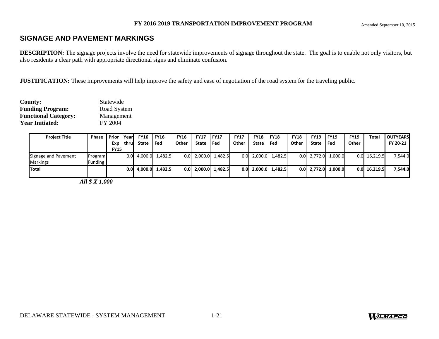# **SIGNAGE AND PAVEMENT MARKINGS**

**DESCRIPTION:** The signage projects involve the need for statewide improvements of signage throughout the state. The goal is to enable not only visitors, but also residents a clear path with appropriate directional signs and eliminate confusion.

**JUSTIFICATION:** These improvements will help improve the safety and ease of negotiation of the road system for the traveling public.

| County:                     | Statewide   |
|-----------------------------|-------------|
| <b>Funding Program:</b>     | Road System |
| <b>Functional Category:</b> | Management  |
| <b>Year Initiated:</b>      | FY 2004     |

| <b>Project Title</b> | Phase   | <b>Prior</b> | Yearl | <b>FY16</b> | l FY16            | <b>FY16</b> | <b>FY17</b>   | <b>IFY17</b>          | <b>FY17</b> | <b>FY18</b> | <b>IFY18</b>          | <b>FY18</b> | <b>FY19</b>  | <b>IFY19</b>          | <b>FY19</b> | Total          | <b>OUTYEARS</b> |
|----------------------|---------|--------------|-------|-------------|-------------------|-------------|---------------|-----------------------|-------------|-------------|-----------------------|-------------|--------------|-----------------------|-------------|----------------|-----------------|
|                      |         | Exp          | thrul | State       | l Fed             | Other       | State Fed     |                       | Other       | State Fed   |                       | Other       | <b>State</b> | l Fed                 | Other       |                | FY 20-21        |
|                      |         | <b>FY15</b>  |       |             |                   |             |               |                       |             |             |                       |             |              |                       |             |                |                 |
| Signage and Pavement | Program |              | 0.0   |             | 4,000.0 1,482.5   |             |               | $0.0$ 2,000.0 1,482.5 |             |             | $0.0$ 2,000.0 1,482.5 |             |              | $0.0$ 2,772.0 1,000.0 |             | $0.0$ 16,219.5 | 7,544.0         |
| <b>Markings</b>      | Funding |              |       |             |                   |             |               |                       |             |             |                       |             |              |                       |             |                |                 |
| Total                |         |              | 0.OI  |             | $4,000.0$ 1,482.5 |             | $0.0$ 2,000.0 | 1.482.5               |             |             | $0.0$ 2,000.0 1,482.5 |             |              | $0.0$ 2,772.0 1,000.0 |             | $0.0$ 16,219.5 | 7,544.0         |
|                      |         |              |       |             |                   |             |               |                       |             |             |                       |             |              |                       |             |                |                 |



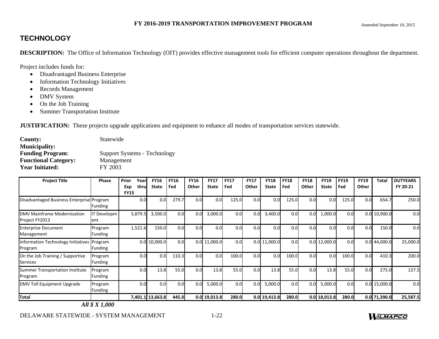# **TECHNOLOGY**

**DESCRIPTION:** The Office of Information Technology (OIT) provides effective management tools for efficient computer operations throughout the department.

Project includes funds for:

- Disadvantaged Business Enterprise
- Information Technology Initiatives
- Records Management
- DMV System
- On the Job Training
- $\bullet$ Summer Transportation Institute

**JUSTIFICATION:** These projects upgrade applications and equipment to enhance all modes of transportation services statewide.

| <b>County:</b>              | Statewide                    |
|-----------------------------|------------------------------|
| <b>Municipality:</b>        |                              |
| <b>Funding Program:</b>     | Support Systems - Technology |
| <b>Functional Category:</b> | Management                   |
| <b>Year Initiated:</b>      | FY 2003                      |

| <b>Project Title</b>                                  | Phase              | Prior<br>Year<br>Exp<br>thrul | <b>FY16</b><br><b>State</b> | <b>FY16</b><br>Fed | <b>FY16</b><br>Other | <b>FY17</b><br><b>State</b> | <b>FY17</b><br>Fed | <b>FY17</b><br>Other | <b>FY18</b><br><b>State</b> | <b>FY18</b><br>Fed | <b>FY18</b><br>Other | <b>FY19</b><br><b>State</b> | <b>FY19</b><br>Fed | <b>FY19</b><br><b>Other</b> | <b>Total</b>   | <b>OUTYEARS</b><br>FY 20-21 |
|-------------------------------------------------------|--------------------|-------------------------------|-----------------------------|--------------------|----------------------|-----------------------------|--------------------|----------------------|-----------------------------|--------------------|----------------------|-----------------------------|--------------------|-----------------------------|----------------|-----------------------------|
|                                                       |                    | <b>FY15</b>                   |                             |                    |                      |                             |                    |                      |                             |                    |                      |                             |                    |                             |                |                             |
| Disadvantaged Business Enterprise Program             | Funding            | 0.0                           | 0.0                         | 279.7              | 0.0                  | 0.0                         | 125.0              | 0.0                  | 0.0                         | 125.0              | 0.0                  | 0.0                         | 125.0              | 0.0                         | 654.7          | 250.0                       |
| DMV Mainframe Modernization<br>Project FY2013         | IT Developm<br>ent | 5,879.5                       | 3,500.0                     | 0.0                | 0.0                  | 3,000.0                     | 0.0                | 0.0                  | 3,400.0                     | 0.0                | 0.0                  | 1,000.0                     | 0.0                |                             | 0.0 10,900.0   | 0.0                         |
| <b>Enterprise Document</b><br>Management              | Program<br>Funding | 1,521.6                       | 150.0                       | 0.0                | 0.0                  | 0.0                         | 0.0                | 0.0                  | 0.0                         | 0.0                | 0.0                  | 0.0                         | 0.0                | 0.0                         | 150.0          | 0.0                         |
| Information Technology Initiatives Program<br>Program | Funding            |                               | 0.0 10,000.0                | 0.0                |                      | 0.0 11,000.0                | 0.0                |                      | $0.0$ 11,000.0              | 0.0                |                      | 0.012,000.0                 | 0.0 <sub>l</sub>   |                             | $0.0$ 44,000.0 | 25,000.0                    |
| On the Job Training / Supportive<br>Services          | Program<br>Funding | 0.0                           | 0.0                         | 110.3              | 0.0                  | 0.0                         | 100.0              | 0.0                  | 0.0                         | 100.0              | 0.0                  | 0.0                         | 100.0              | 0.0                         | 410.3          | 200.0                       |
| Summer Transportation Institute<br>Program            | Program<br>Funding | 0.0                           | 13.8                        | 55.0               | 0.0                  | 13.8                        | 55.0               | 0.0                  | 13.8                        | 55.0               | 0.0                  | 13.8                        | 55.0               | 0.0                         | 275.0          | 137.5                       |
| DMV Toll Equipment Upgrade                            | Program<br>Funding | 0.0                           | 0.0                         | 0.0                | 0.0                  | 5,000.0                     | 0.0                | 0.0                  | 5,000.0                     | 0.0                | 0.0                  | 5,000.0                     | 0.0 <sub>l</sub>   |                             | 0.0 15,000.0   | 0.0                         |
| Total                                                 |                    |                               | 7,401.1 13,663.8            | 445.0              |                      | 0.0 19,013.8                | 280.0              |                      | $0.0$ 19,413.8              | 280.0              |                      | 0.0 18,013.8                | 280.0              |                             | 0.0 71,390.0   | 25,587.5                    |

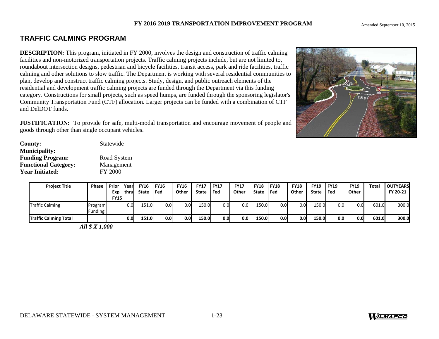# **TRAFFIC CALMING PROGRAM**

**DESCRIPTION:** This program, initiated in FY 2000, involves the design and construction of traffic calming facilities and non-motorized transportation projects. Traffic calming projects include, but are not limited to, roundabout intersection designs, pedestrian and bicycle facilities, transit access, park and ride facilities, traffic calming and other solutions to slow traffic. The Department is working with several residential communities to plan, develop and construct traffic calming projects. Study, design, and public outreach elements of the residential and development traffic calming projects are funded through the Department via this funding category. Constructions for small projects, such as speed humps, are funded through the sponsoring legislator's Community Transportation Fund (CTF) allocation. Larger projects can be funded with a combination of CTF and DelDOT funds.

**JUSTIFICATION:** To provide for safe, multi-modal transportation and encourage movement of people and goods through other than single occupant vehicles.

| County:                     | Statewide      |
|-----------------------------|----------------|
| <b>Municipality:</b>        |                |
| <b>Funding Program:</b>     | Road System    |
| <b>Functional Category:</b> | Management     |
| <b>Year Initiated:</b>      | <b>FY 2000</b> |

| <b>Project Title</b>         | Phase              | l Prior<br>Exp | Yearl<br>thrul | <b>FY16</b><br><b>State</b> | <b>FY16</b><br>l Fed | <b>FY16</b><br>Other | <b>FY17</b><br><b>State</b> | <b>FY17</b><br>l Fed | <b>FY17</b><br>Other | <b>FY18</b><br><b>State</b> | <b>FY18</b><br>l Fed | <b>FY18</b><br>Other | <b>FY19</b><br><b>State</b> | <b>FY19</b><br>Fed | <b>FY19</b><br>Other | Total | <b>OUTYEARS</b><br>FY 20-21 |
|------------------------------|--------------------|----------------|----------------|-----------------------------|----------------------|----------------------|-----------------------------|----------------------|----------------------|-----------------------------|----------------------|----------------------|-----------------------------|--------------------|----------------------|-------|-----------------------------|
|                              |                    | <b>FY15</b>    |                |                             |                      |                      |                             |                      |                      |                             |                      |                      |                             |                    |                      |       |                             |
| <b>Traffic Calming</b>       | Program<br>unding- |                | 0.0            | 151.0                       | 0.0                  | 0.0                  | 150.0                       | 0.0                  | 0.0                  | 150.0                       | 0.0                  | 0.0                  | 150.0                       | 0.0 <sub>l</sub>   | 0.0                  | 601.0 | 300.0                       |
| <b>Traffic Calming Total</b> |                    |                | 0.0            | 151.0                       | 0.0                  | 0.0                  | 150.0                       | 0.0 <sub>l</sub>     | 0.0                  | 150.0                       | 0.0 <sub>l</sub>     | 0.0 <sub>l</sub>     | 150.0                       | 0.0                | 0.0                  | 601.0 | 300.0                       |

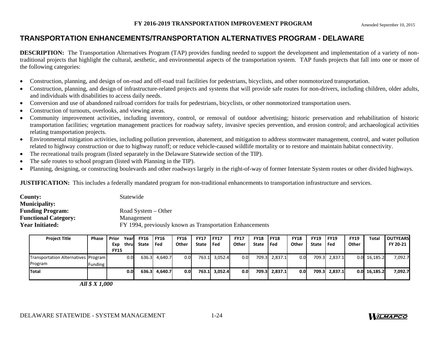# **TRANSPORTATION ENHANCEMENTS/TRANSPORTATION ALTERNATIVES PROGRAM - DELAWARE**

**DESCRIPTION:** The Transportation Alternatives Program (TAP) provides funding needed to support the development and implementation of a variety of nontraditional projects that highlight the cultural, aesthetic, and environmental aspects of the transportation system. TAP funds projects that fall into one or more of the following categories:

- $\bullet$ Construction, planning, and design of on-road and off-road trail facilities for pedestrians, bicyclists, and other nonmotorized transportation.
- $\bullet$  Construction, planning, and design of infrastructure-related projects and systems that will provide safe routes for non-drivers, including children, older adults, and individuals with disabilities to access daily needs.
- $\bullet$ Conversion and use of abandoned railroad corridors for trails for pedestrians, bicyclists, or other nonmotorized transportation users.
- $\bullet$ Construction of turnouts, overlooks, and viewing areas.
- $\bullet$  Community improvement activities, including inventory, control, or removal of outdoor advertising; historic preservation and rehabilitation of historic transportation facilities; vegetation management practices for roadway safety, invasive species prevention, and erosion control; and archaeological activities relating transportation projects.
- $\bullet$  Environmental mitigation activities, including pollution prevention, abatement, and mitigation to address stormwater management, control, and water pollution related to highway construction or due to highway runoff; or reduce vehicle-caused wildlife mortality or to restore and maintain habitat connectivity.
- $\bullet$ The recreational trails program (listed separately in the Delaware Statewide section of the TIP).
- $\bullet$ The safe routes to school program (listed with Planning in the TIP).
- $\bullet$ Planning, designing, or constructing boulevards and other roadways largely in the right-of-way of former Interstate System routes or other divided highways.

**JUSTIFICATION:** This includes a federally mandated program for non-traditional enhancements to transportation infrastructure and services.

| <b>County:</b>              | Statewide                                                |
|-----------------------------|----------------------------------------------------------|
| <b>Municipality:</b>        |                                                          |
| <b>Funding Program:</b>     | Road System $-$ Other                                    |
| <b>Functional Category:</b> | Management                                               |
| <b>Year Initiated:</b>      | FY 1994, previously known as Transportation Enhancements |

| <b>Project Title</b>                | Phase   | Prior       | Year  | <b>FY16</b> | <b>FY16</b>   | <b>FY16</b>      | <b>FY17</b>  | <b>IFY17</b> | <b>FY17</b> | <b>FY18</b>  | <b>IFY18</b>  | <b>FY18</b>      | <b>FY19</b> | <b>FY19</b>   | <b>FY19</b> | Total    | <b>OUTYEARS</b> |
|-------------------------------------|---------|-------------|-------|-------------|---------------|------------------|--------------|--------------|-------------|--------------|---------------|------------------|-------------|---------------|-------------|----------|-----------------|
|                                     |         | Exp         | thrul | State       | l Fed         | Other            | <b>State</b> | l Fed        | Other       | <b>State</b> | l Fed         | Other            | State       | l Fed         | Other       |          | FY 20-21        |
|                                     |         | <b>FY15</b> |       |             |               |                  |              |              |             |              |               |                  |             |               |             |          |                 |
| Transportation Alternatives Program |         |             | 0.0   |             | 636.3 4,640.7 | 0.0              | 763.1        | 3,052.4      | 0.0         |              | 709.3 2,837.1 | 0.0 <sub>l</sub> |             | 709.3 2,837.1 | 0.0         | 16,185.2 | 7,092.7         |
| Program                             | Funding |             |       |             |               |                  |              |              |             |              |               |                  |             |               |             |          |                 |
| <b>Total</b>                        |         |             | 0.0   | 636.3       | 4.640.7       | 0.0 <sub>l</sub> | 763.1        | 3.052.4      | 0.0         |              | 709.3 2.837.1 | 0.0 <sub>l</sub> |             | 709.3 2,837.1 | 0.01        | 16.185.2 | 7,092.7         |
|                                     |         |             |       |             |               |                  |              |              |             |              |               |                  |             |               |             |          |                 |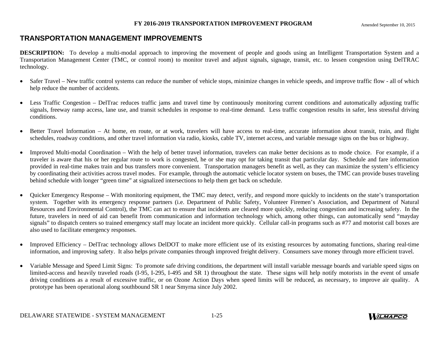## **TRANSPORTATION MANAGEMENT IMPROVEMENTS**

**DESCRIPTION:** To develop a multi-modal approach to improving the movement of people and goods using an Intelligent Transportation System and a Transportation Management Center (TMC, or control room) to monitor travel and adjust signals, signage, transit, etc. to lessen congestion using DelTRAC technology.

- $\bullet$  Safer Travel – New traffic control systems can reduce the number of vehicle stops, minimize changes in vehicle speeds, and improve traffic flow - all of which help reduce the number of accidents.
- $\bullet$  Less Traffic Congestion – DelTrac reduces traffic jams and travel time by continuously monitoring current conditions and automatically adjusting traffic signals, freeway ramp access, lane use, and transit schedules in response to real-time demand. Less traffic congestion results in safer, less stressful driving conditions.
- $\bullet$  Better Travel Information – At home, en route, or at work, travelers will have access to real-time, accurate information about transit, train, and flight schedules, roadway conditions, and other travel information via radio, kiosks, cable TV, internet access, and variable message signs on the bus or highway.
- $\bullet$  Improved Multi-modal Coordination – With the help of better travel information, travelers can make better decisions as to mode choice. For example, if a traveler is aware that his or her regular route to work is congested, he or she may opt for taking transit that particular day. Schedule and fare information provided in real-time makes train and bus transfers more convenient. Transportation managers benefit as well, as they can maximize the system's efficiency by coordinating their activities across travel modes. For example, through the automatic vehicle locator system on buses, the TMC can provide buses traveling behind schedule with longer "green time" at signalized intersections to help them get back on schedule.
- $\bullet$  Quicker Emergency Response – With monitoring equipment, the TMC may detect, verify, and respond more quickly to incidents on the state's transportation system. Together with its emergency response partners (i.e. Department of Public Safety, Volunteer Firemen's Association, and Department of Natural Resources and Environmental Control), the TMC can act to ensure that incidents are cleared more quickly, reducing congestion and increasing safety. In the future, travelers in need of aid can benefit from communication and information technology which, among other things, can automatically send "mayday signals" to dispatch centers so trained emergency staff may locate an incident more quickly. Cellular call-in programs such as #77 and motorist call boxes are also used to facilitate emergency responses.
- $\bullet$  Improved Efficiency – DelTrac technology allows DelDOT to make more efficient use of its existing resources by automating functions, sharing real-time information, and improving safety. It also helps private companies through improved freight delivery. Consumers save money through more efficient travel.
- $\bullet$  Variable Message and Speed Limit Signs: To promote safe driving conditions, the department will install variable message boards and variable speed signs on limited-access and heavily traveled roads (I-95, I-295, I-495 and SR 1) throughout the state. These signs will help notify motorists in the event of unsafe driving conditions as a result of excessive traffic, or on Ozone Action Days when speed limits will be reduced, as necessary, to improve air quality. A prototype has been operational along southbound SR 1 near Smyrna since July 2002.



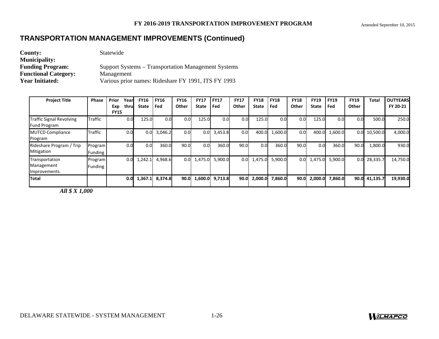# **TRANSPORTATION MANAGEMENT IMPROVEMENTS (Continued)**

| <b>County:</b>              | Statewide                                           |
|-----------------------------|-----------------------------------------------------|
| <b>Municipality:</b>        |                                                     |
| <b>Funding Program:</b>     | Support Systems – Transportation Management Systems |
| <b>Functional Category:</b> | Management                                          |
| <b>Year Initiated:</b>      | Various prior names: Rideshare FY 1991, ITS FY 1993 |

| <b>Project Title</b>                                   | <b>Phase</b>       | Prior<br>Exp<br><b>FY15</b> | <b>FY16</b><br>Year<br>thrul<br>State | <b>FY16</b><br>Fed | <b>FY16</b><br>Other | <b>FY17</b><br><b>State</b> | <b>FY17</b><br>Fed | <b>FY17</b><br>Other | <b>FY18</b><br><b>State</b> | <b>FY18</b><br>Fed | <b>FY18</b><br>Other | <b>FY19</b><br>State | <b>FY19</b><br>Fed | <b>FY19</b><br>Other | Total    | <b>OUTYEARS</b><br>FY 20-21 |
|--------------------------------------------------------|--------------------|-----------------------------|---------------------------------------|--------------------|----------------------|-----------------------------|--------------------|----------------------|-----------------------------|--------------------|----------------------|----------------------|--------------------|----------------------|----------|-----------------------------|
| <b>Traffic Signal Revolving</b><br><b>Fund Program</b> | <b>Traffic</b>     |                             | 0.0                                   | 125.0              | 0.0<br>0.0           | 125.0                       | 0.0                | 0.0                  | 125.0                       | 0.0                | 0.0 <sub>l</sub>     | 125.0                | 0.0 <sub>l</sub>   | 0.0                  | 500.0    | 250.0                       |
| <b>MUTCD Compliance</b><br>Program                     | Traffic            |                             | 0.0                                   | 3,046.2<br>0.01    | 0.01                 | 0.0 <sub>l</sub>            | 3,453.8            | 0.0 <sub>l</sub>     | 400.0                       | 1,600.0            | 0.0 <sub>l</sub>     | 400.0                | 1,600.0            | 0.0                  | 10,500.0 | 4,000.0                     |
| Rideshare Program / Trip<br>Mitigation                 | Program<br>Funding |                             | 0.0                                   | 360.0<br>0.0       | 90.0                 | 0.0 <sub>l</sub>            | 360.0              | 90.0                 | 0.0                         | 360.0              | 90.0                 | 0.0                  | 360.0              | 90.0                 | 1,800.0  | 930.0                       |
| Transportation<br>Management<br>Improvements           | Program<br>Funding |                             | 1,242.1<br>0.0                        | 4,968.6            | 0.0 <sub>l</sub>     | 1,475.0                     | 5,900.0            | 0.0 <sub>l</sub>     | 1,475.0                     | 5,900.0            |                      | $0.0 \quad 1,475.0$  | 5,900.0            | 0.0                  | 28,335.7 | 14,750.0                    |
| <b>Total</b>                                           |                    |                             | 1,367.1<br>0.0                        | 8,374.8            | 90.O                 | 1,600.0                     | 9,713.8            | 90.0                 | 2,000.0                     | 7,860.0            | 90.0                 | 2,000.0              | 7,860.0            | 90.0                 | 41,135.7 | 19,930.0                    |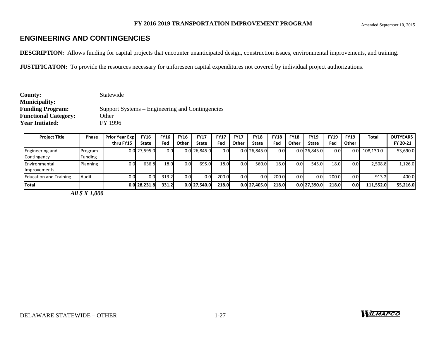# **ENGINEERING AND CONTINGENCIES**

**DESCRIPTION:** Allows funding for capital projects that encounter unanticipated design, construction issues, environmental improvements, and training.

**JUSTIFICATON:** To provide the resources necessary for unforeseen capital expenditures not covered by individual project authorizations.

| County:                     | Statewide                                       |
|-----------------------------|-------------------------------------------------|
| <b>Municipality:</b>        |                                                 |
| <b>Funding Program:</b>     | Support Systems – Engineering and Contingencies |
| <b>Functional Category:</b> | Other                                           |
| <b>Year Initiated:</b>      | FY 1996                                         |
|                             |                                                 |

| <b>Project Title</b>          | Phase          | <b>Prior Year Expl</b> | <b>FY16</b>      | <b>FY16</b> | <b>FY16</b> | <b>FY17</b>    | <b>FY17</b> | <b>FY17</b> | <b>FY18</b>      | <b>FY18</b> | <b>FY18</b>      | <b>FY19</b>    | <b>FY19</b> | <b>FY19</b> | <b>Total</b> | <b>OUTYEARS</b> |
|-------------------------------|----------------|------------------------|------------------|-------------|-------------|----------------|-------------|-------------|------------------|-------------|------------------|----------------|-------------|-------------|--------------|-----------------|
|                               |                | thru FY15              | State            | Fed         | Other       | <b>State</b>   | Fed         | Other       | <b>State</b>     | Fed         | Other            | State          | Fed         | Other       |              | FY 20-21        |
| <b>Engineering and</b>        | Program        |                        | 0.0 27,595.0     | 0.01        |             | $0.0$ 26.845.0 | 0.0         |             | $0.0$ 26,845.0   | 0.0         |                  | $0.0$ 26.845.0 | 0.0         | 0.0         | 108,130.0    | 53,690.0        |
| Contingency                   | <b>Funding</b> |                        |                  |             |             |                |             |             |                  |             |                  |                |             |             |              |                 |
| <b>Environmental</b>          | Planning       | 0.0                    | 636.8            | 18.0        | 0.0         | 695.0          | 18.0        | 0.0         | 560.0            | 18.0        | 0.0 <sub>l</sub> | 545.0          | 18.0        | 0.0         | 2,508.8      | 1,126.0         |
| <b>I</b> Improvements         |                |                        |                  |             |             |                |             |             |                  |             |                  |                |             |             |              |                 |
| <b>Education and Training</b> | Audit          |                        | 0.0 <sub>l</sub> | 313.2       | 0.0         | 0.0            | 200.0       | 0.01        | 0.0              | 200.0       | 0.0              | 0.0            | 200.0       | 0.0         | 913.2        | 400.0           |
| <b>Total</b>                  |                |                        | 0.0 28.231.8     | 331.2       |             | $0.0$ 27,540.0 | 218.0       |             | $0.0$   27.405.0 | 218.0       |                  | 0.0 27.390.0   | 218.0       | 0.0         | 111.552.0    | 55,216.0        |